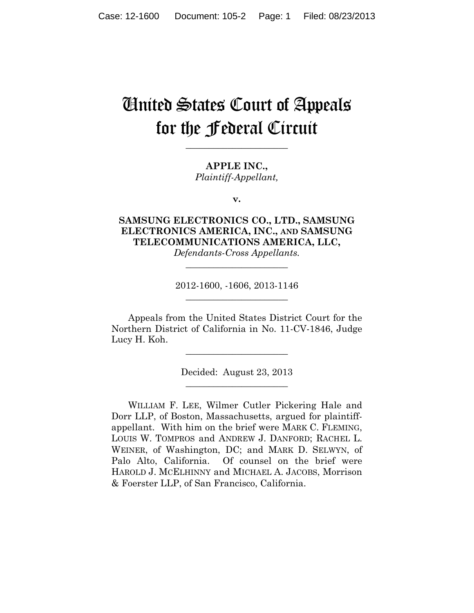# United States Court of Appeals for the Federal Circuit

**\_\_\_\_\_\_\_\_\_\_\_\_\_\_\_\_\_\_\_\_\_\_** 

**APPLE INC.,** *Plaintiff-Appellant,*

**v.**

**SAMSUNG ELECTRONICS CO., LTD., SAMSUNG ELECTRONICS AMERICA, INC., AND SAMSUNG TELECOMMUNICATIONS AMERICA, LLC,** *Defendants-Cross Appellants.*

> 2012-1600, -1606, 2013-1146 **\_\_\_\_\_\_\_\_\_\_\_\_\_\_\_\_\_\_\_\_\_\_**

**\_\_\_\_\_\_\_\_\_\_\_\_\_\_\_\_\_\_\_\_\_\_** 

Appeals from the United States District Court for the Northern District of California in No. 11-CV-1846, Judge Lucy H. Koh.

> Decided: August 23, 2013 **\_\_\_\_\_\_\_\_\_\_\_\_\_\_\_\_\_\_\_\_\_\_**

**\_\_\_\_\_\_\_\_\_\_\_\_\_\_\_\_\_\_\_\_\_\_** 

WILLIAM F. LEE, Wilmer Cutler Pickering Hale and Dorr LLP, of Boston, Massachusetts, argued for plaintiffappellant. With him on the brief were MARK C. FLEMING, LOUIS W. TOMPROS and ANDREW J. DANFORD; RACHEL L. WEINER, of Washington, DC; and MARK D. SELWYN, of Palo Alto, California. Of counsel on the brief were HAROLD J. MCELHINNY and MICHAEL A. JACOBS, Morrison & Foerster LLP, of San Francisco, California.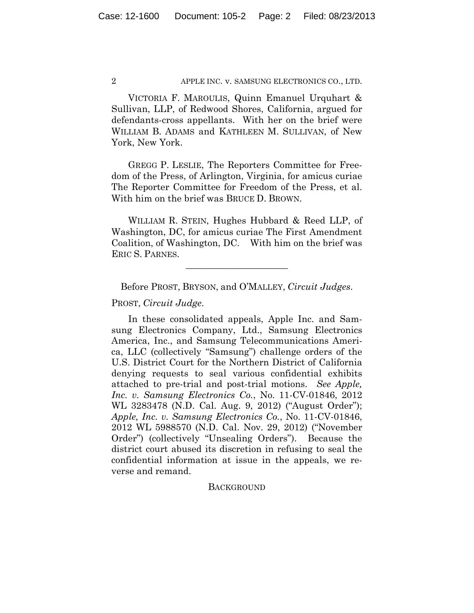VICTORIA F. MAROULIS, Quinn Emanuel Urquhart & Sullivan, LLP, of Redwood Shores, California, argued for defendants-cross appellants. With her on the brief were WILLIAM B. ADAMS and KATHLEEN M. SULLIVAN, of New York, New York.

GREGG P. LESLIE, The Reporters Committee for Freedom of the Press, of Arlington, Virginia, for amicus curiae The Reporter Committee for Freedom of the Press, et al. With him on the brief was BRUCE D. BROWN.

WILLIAM R. STEIN, Hughes Hubbard & Reed LLP, of Washington, DC, for amicus curiae The First Amendment Coalition, of Washington, DC. With him on the brief was ERIC S. PARNES.

**\_\_\_\_\_\_\_\_\_\_\_\_\_\_\_\_\_\_\_\_\_\_** 

Before PROST, BRYSON, and O'MALLEY, *Circuit Judges*.

PROST, *Circuit Judge*.

In these consolidated appeals, Apple Inc. and Samsung Electronics Company, Ltd., Samsung Electronics America, Inc., and Samsung Telecommunications America, LLC (collectively "Samsung") challenge orders of the U.S. District Court for the Northern District of California denying requests to seal various confidential exhibits attached to pre-trial and post-trial motions. *See Apple, Inc. v. Samsung Electronics Co.*, No. 11-CV-01846, 2012 WL 3283478 (N.D. Cal. Aug. 9, 2012) ("August Order"); *Apple, Inc. v. Samsung Electronics Co.*, No. 11-CV-01846, 2012 WL 5988570 (N.D. Cal. Nov. 29, 2012) ("November Order") (collectively "Unsealing Orders"). Because the district court abused its discretion in refusing to seal the confidential information at issue in the appeals, we reverse and remand.

## **BACKGROUND**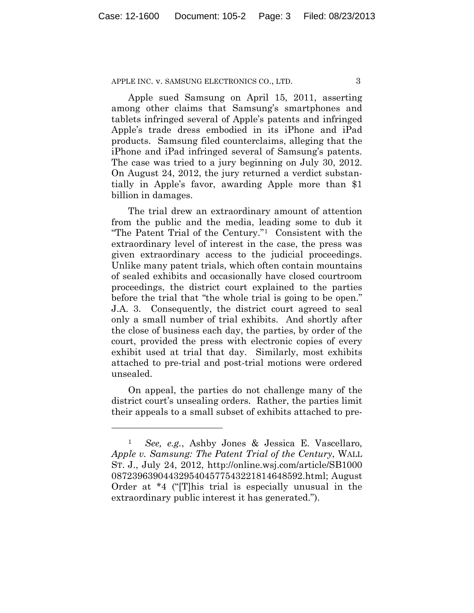Apple sued Samsung on April 15, 2011, asserting among other claims that Samsung's smartphones and tablets infringed several of Apple's patents and infringed Apple's trade dress embodied in its iPhone and iPad products. Samsung filed counterclaims, alleging that the iPhone and iPad infringed several of Samsung's patents. The case was tried to a jury beginning on July 30, 2012. On August 24, 2012, the jury returned a verdict substantially in Apple's favor, awarding Apple more than \$1 billion in damages.

The trial drew an extraordinary amount of attention from the public and the media, leading some to dub it "The Patent Trial of the Century."1 Consistent with the extraordinary level of interest in the case, the press was given extraordinary access to the judicial proceedings. Unlike many patent trials, which often contain mountains of sealed exhibits and occasionally have closed courtroom proceedings, the district court explained to the parties before the trial that "the whole trial is going to be open." J.A. 3. Consequently, the district court agreed to seal only a small number of trial exhibits. And shortly after the close of business each day, the parties, by order of the court, provided the press with electronic copies of every exhibit used at trial that day. Similarly, most exhibits attached to pre-trial and post-trial motions were ordered unsealed.

On appeal, the parties do not challenge many of the district court's unsealing orders. Rather, the parties limit their appeals to a small subset of exhibits attached to pre-

<sup>1</sup> *See, e.g.*, Ashby Jones & Jessica E. Vascellaro, *Apple v. Samsung: The Patent Trial of the Century*, WALL ST. J., July 24, 2012, http://online.wsj.com/article/SB1000 0872396390443295404577543221814648592.html; August Order at \*4 ("[T]his trial is especially unusual in the extraordinary public interest it has generated.").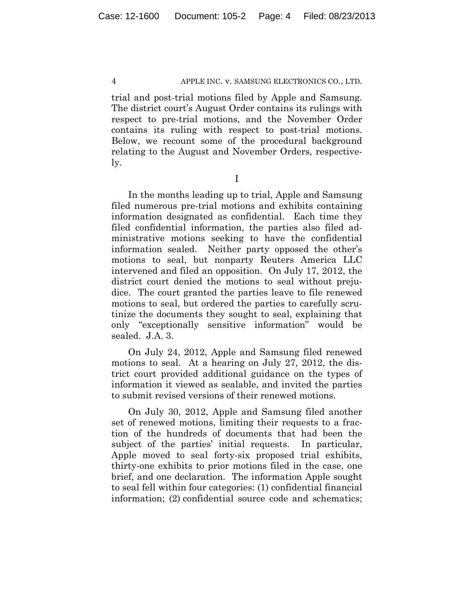trial and post-trial motions filed by Apple and Samsung. The district court's August Order contains its rulings with respect to pre-trial motions, and the November Order contains its ruling with respect to post-trial motions. Below, we recount some of the procedural background relating to the August and November Orders, respectively.

I

In the months leading up to trial, Apple and Samsung filed numerous pre-trial motions and exhibits containing information designated as confidential. Each time they filed confidential information, the parties also filed administrative motions seeking to have the confidential information sealed. Neither party opposed the other's motions to seal, but nonparty Reuters America LLC intervened and filed an opposition. On July 17, 2012, the district court denied the motions to seal without prejudice. The court granted the parties leave to file renewed motions to seal, but ordered the parties to carefully scrutinize the documents they sought to seal, explaining that only "exceptionally sensitive information" would be sealed. J.A. 3.

On July 24, 2012, Apple and Samsung filed renewed motions to seal. At a hearing on July 27, 2012, the district court provided additional guidance on the types of information it viewed as sealable, and invited the parties to submit revised versions of their renewed motions.

On July 30, 2012, Apple and Samsung filed another set of renewed motions, limiting their requests to a fraction of the hundreds of documents that had been the subject of the parties' initial requests. In particular, Apple moved to seal forty-six proposed trial exhibits, thirty-one exhibits to prior motions filed in the case, one brief, and one declaration. The information Apple sought to seal fell within four categories: (1) confidential financial information; (2) confidential source code and schematics;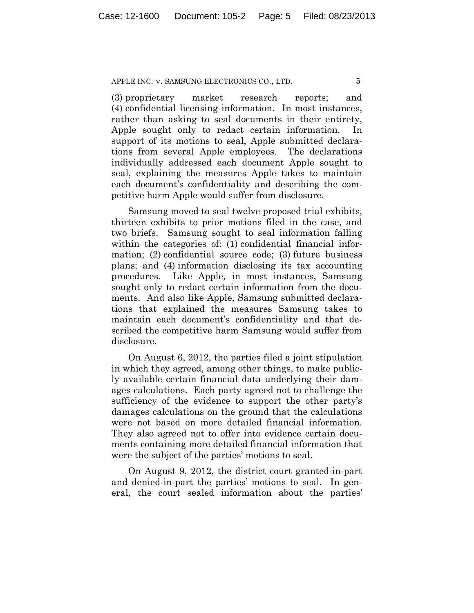(3) proprietary market research reports; and (4) confidential licensing information. In most instances, rather than asking to seal documents in their entirety, Apple sought only to redact certain information. In support of its motions to seal, Apple submitted declarations from several Apple employees. The declarations individually addressed each document Apple sought to seal, explaining the measures Apple takes to maintain each document's confidentiality and describing the competitive harm Apple would suffer from disclosure.

Samsung moved to seal twelve proposed trial exhibits, thirteen exhibits to prior motions filed in the case, and two briefs. Samsung sought to seal information falling within the categories of: (1) confidential financial information; (2) confidential source code; (3) future business plans; and (4) information disclosing its tax accounting procedures. Like Apple, in most instances, Samsung sought only to redact certain information from the documents. And also like Apple, Samsung submitted declarations that explained the measures Samsung takes to maintain each document's confidentiality and that described the competitive harm Samsung would suffer from disclosure.

On August 6, 2012, the parties filed a joint stipulation in which they agreed, among other things, to make publicly available certain financial data underlying their damages calculations. Each party agreed not to challenge the sufficiency of the evidence to support the other party's damages calculations on the ground that the calculations were not based on more detailed financial information. They also agreed not to offer into evidence certain documents containing more detailed financial information that were the subject of the parties' motions to seal.

On August 9, 2012, the district court granted-in-part and denied-in-part the parties' motions to seal. In general, the court sealed information about the parties'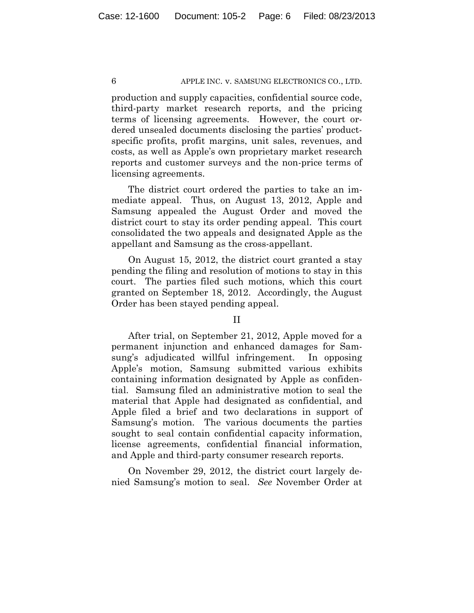production and supply capacities, confidential source code, third-party market research reports, and the pricing terms of licensing agreements. However, the court ordered unsealed documents disclosing the parties' productspecific profits, profit margins, unit sales, revenues, and costs, as well as Apple's own proprietary market research reports and customer surveys and the non-price terms of licensing agreements.

The district court ordered the parties to take an immediate appeal. Thus, on August 13, 2012, Apple and Samsung appealed the August Order and moved the district court to stay its order pending appeal. This court consolidated the two appeals and designated Apple as the appellant and Samsung as the cross-appellant.

On August 15, 2012, the district court granted a stay pending the filing and resolution of motions to stay in this court. The parties filed such motions, which this court granted on September 18, 2012. Accordingly, the August Order has been stayed pending appeal.

# II

After trial, on September 21, 2012, Apple moved for a permanent injunction and enhanced damages for Samsung's adjudicated willful infringement. In opposing Apple's motion, Samsung submitted various exhibits containing information designated by Apple as confidential. Samsung filed an administrative motion to seal the material that Apple had designated as confidential, and Apple filed a brief and two declarations in support of Samsung's motion. The various documents the parties sought to seal contain confidential capacity information, license agreements, confidential financial information, and Apple and third-party consumer research reports.

On November 29, 2012, the district court largely denied Samsung's motion to seal. *See* November Order at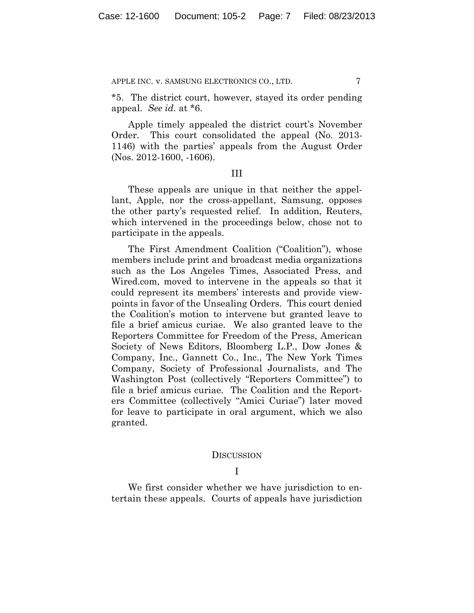\*5. The district court, however, stayed its order pending appeal. *See id.* at \*6.

Apple timely appealed the district court's November Order. This court consolidated the appeal (No. 2013- 1146) with the parties' appeals from the August Order (Nos. 2012-1600, -1606).

#### III

These appeals are unique in that neither the appellant, Apple, nor the cross-appellant, Samsung, opposes the other party's requested relief. In addition, Reuters, which intervened in the proceedings below, chose not to participate in the appeals.

The First Amendment Coalition ("Coalition"), whose members include print and broadcast media organizations such as the Los Angeles Times, Associated Press, and Wired.com, moved to intervene in the appeals so that it could represent its members' interests and provide viewpoints in favor of the Unsealing Orders. This court denied the Coalition's motion to intervene but granted leave to file a brief amicus curiae. We also granted leave to the Reporters Committee for Freedom of the Press, American Society of News Editors, Bloomberg L.P., Dow Jones & Company, Inc., Gannett Co., Inc., The New York Times Company, Society of Professional Journalists, and The Washington Post (collectively "Reporters Committee") to file a brief amicus curiae. The Coalition and the Reporters Committee (collectively "Amici Curiae") later moved for leave to participate in oral argument, which we also granted.

#### **DISCUSSION**

I

We first consider whether we have jurisdiction to entertain these appeals. Courts of appeals have jurisdiction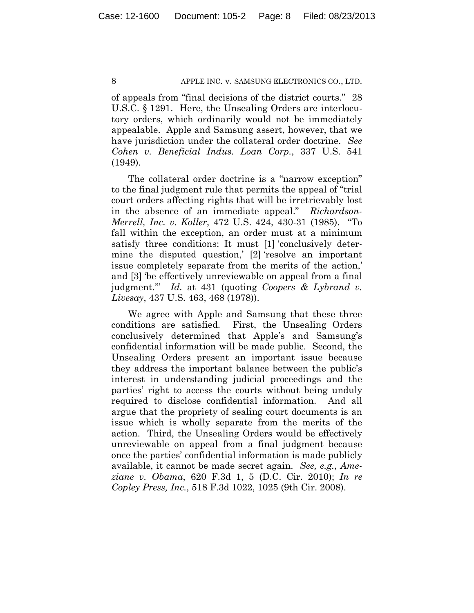of appeals from "final decisions of the district courts." 28 U.S.C. § 1291. Here, the Unsealing Orders are interlocutory orders, which ordinarily would not be immediately appealable. Apple and Samsung assert, however, that we have jurisdiction under the collateral order doctrine. *See Cohen v. Beneficial Indus. Loan Corp.*, 337 U.S. 541 (1949).

The collateral order doctrine is a "narrow exception" to the final judgment rule that permits the appeal of "trial court orders affecting rights that will be irretrievably lost in the absence of an immediate appeal." *Richardson-Merrell, Inc. v. Koller*, 472 U.S. 424, 430-31 (1985). "To fall within the exception, an order must at a minimum satisfy three conditions: It must [1] 'conclusively determine the disputed question,' [2] 'resolve an important issue completely separate from the merits of the action,' and [3] 'be effectively unreviewable on appeal from a final judgment.'" *Id.* at 431 (quoting *Coopers & Lybrand v. Livesay*, 437 U.S. 463, 468 (1978)).

We agree with Apple and Samsung that these three conditions are satisfied. First, the Unsealing Orders conclusively determined that Apple's and Samsung's confidential information will be made public. Second, the Unsealing Orders present an important issue because they address the important balance between the public's interest in understanding judicial proceedings and the parties' right to access the courts without being unduly required to disclose confidential information. And all argue that the propriety of sealing court documents is an issue which is wholly separate from the merits of the action. Third, the Unsealing Orders would be effectively unreviewable on appeal from a final judgment because once the parties' confidential information is made publicly available, it cannot be made secret again. *See, e.g.*, *Ameziane v. Obama*, 620 F.3d 1, 5 (D.C. Cir. 2010); *In re Copley Press, Inc.*, 518 F.3d 1022, 1025 (9th Cir. 2008).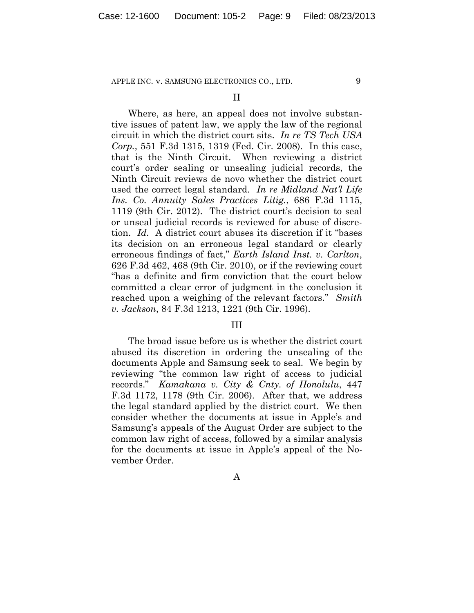II

Where, as here, an appeal does not involve substantive issues of patent law, we apply the law of the regional circuit in which the district court sits. *In re TS Tech USA Corp.*, 551 F.3d 1315, 1319 (Fed. Cir. 2008). In this case, that is the Ninth Circuit. When reviewing a district court's order sealing or unsealing judicial records, the Ninth Circuit reviews de novo whether the district court used the correct legal standard. *In re Midland Nat'l Life Ins. Co. Annuity Sales Practices Litig.*, 686 F.3d 1115, 1119 (9th Cir. 2012). The district court's decision to seal or unseal judicial records is reviewed for abuse of discretion. *Id.* A district court abuses its discretion if it "bases its decision on an erroneous legal standard or clearly erroneous findings of fact," *Earth Island Inst. v. Carlton*, 626 F.3d 462, 468 (9th Cir. 2010), or if the reviewing court "has a definite and firm conviction that the court below committed a clear error of judgment in the conclusion it reached upon a weighing of the relevant factors." *Smith v. Jackson*, 84 F.3d 1213, 1221 (9th Cir. 1996).

## III

The broad issue before us is whether the district court abused its discretion in ordering the unsealing of the documents Apple and Samsung seek to seal. We begin by reviewing "the common law right of access to judicial records." *Kamakana v. City & Cnty. of Honolulu*, 447 F.3d 1172, 1178 (9th Cir. 2006). After that, we address the legal standard applied by the district court. We then consider whether the documents at issue in Apple's and Samsung's appeals of the August Order are subject to the common law right of access, followed by a similar analysis for the documents at issue in Apple's appeal of the November Order.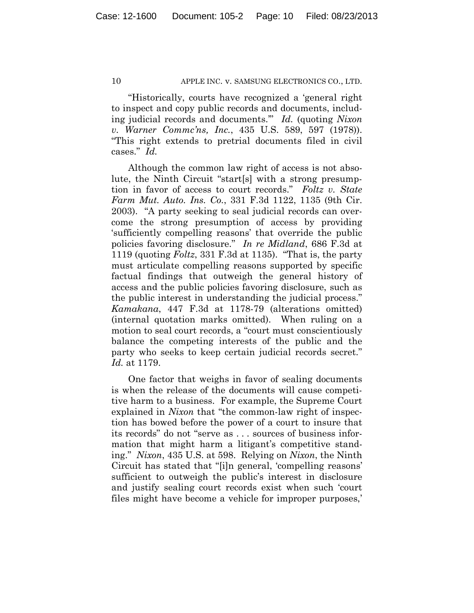"Historically, courts have recognized a 'general right to inspect and copy public records and documents, including judicial records and documents.'" *Id.* (quoting *Nixon v. Warner Commc'ns, Inc.*, 435 U.S. 589, 597 (1978)). "This right extends to pretrial documents filed in civil cases." *Id.*

Although the common law right of access is not absolute, the Ninth Circuit "start[s] with a strong presumption in favor of access to court records." *Foltz v. State Farm Mut. Auto. Ins. Co.*, 331 F.3d 1122, 1135 (9th Cir. 2003). "A party seeking to seal judicial records can overcome the strong presumption of access by providing 'sufficiently compelling reasons' that override the public policies favoring disclosure." *In re Midland*, 686 F.3d at 1119 (quoting *Foltz*, 331 F.3d at 1135). "That is, the party must articulate compelling reasons supported by specific factual findings that outweigh the general history of access and the public policies favoring disclosure, such as the public interest in understanding the judicial process." *Kamakana*, 447 F.3d at 1178-79 (alterations omitted) (internal quotation marks omitted). When ruling on a motion to seal court records, a "court must conscientiously balance the competing interests of the public and the party who seeks to keep certain judicial records secret." *Id.* at 1179.

One factor that weighs in favor of sealing documents is when the release of the documents will cause competitive harm to a business. For example, the Supreme Court explained in *Nixon* that "the common-law right of inspection has bowed before the power of a court to insure that its records" do not "serve as . . . sources of business information that might harm a litigant's competitive standing." *Nixon*, 435 U.S. at 598. Relying on *Nixon*, the Ninth Circuit has stated that "[i]n general, 'compelling reasons' sufficient to outweigh the public's interest in disclosure and justify sealing court records exist when such 'court files might have become a vehicle for improper purposes,'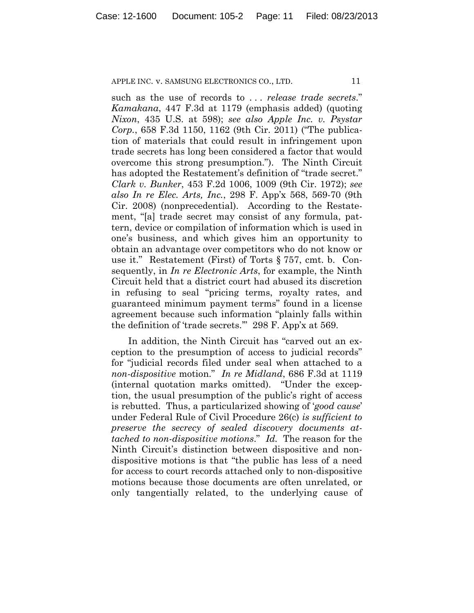such as the use of records to . . . *release trade secrets*." *Kamakana*, 447 F.3d at 1179 (emphasis added) (quoting *Nixon*, 435 U.S. at 598); *see also Apple Inc. v. Psystar Corp.*, 658 F.3d 1150, 1162 (9th Cir. 2011) ("The publication of materials that could result in infringement upon trade secrets has long been considered a factor that would overcome this strong presumption."). The Ninth Circuit has adopted the Restatement's definition of "trade secret." *Clark v. Bunker*, 453 F.2d 1006, 1009 (9th Cir. 1972); *see also In re Elec. Arts, Inc.*, 298 F. App'x 568, 569-70 (9th Cir. 2008) (nonprecedential). According to the Restatement, "[a] trade secret may consist of any formula, pattern, device or compilation of information which is used in one's business, and which gives him an opportunity to obtain an advantage over competitors who do not know or use it." Restatement (First) of Torts § 757, cmt. b. Consequently, in *In re Electronic Arts*, for example, the Ninth Circuit held that a district court had abused its discretion in refusing to seal "pricing terms, royalty rates, and guaranteed minimum payment terms" found in a license agreement because such information "plainly falls within the definition of 'trade secrets.'" 298 F. App'x at 569.

In addition, the Ninth Circuit has "carved out an exception to the presumption of access to judicial records" for "judicial records filed under seal when attached to a *non-dispositive* motion." *In re Midland*, 686 F.3d at 1119 (internal quotation marks omitted). "Under the exception, the usual presumption of the public's right of access is rebutted. Thus, a particularized showing of '*good cause*' under Federal Rule of Civil Procedure 26(c) *is sufficient to preserve the secrecy of sealed discovery documents attached to non-dispositive motions*." *Id.* The reason for the Ninth Circuit's distinction between dispositive and nondispositive motions is that "the public has less of a need for access to court records attached only to non-dispositive motions because those documents are often unrelated, or only tangentially related, to the underlying cause of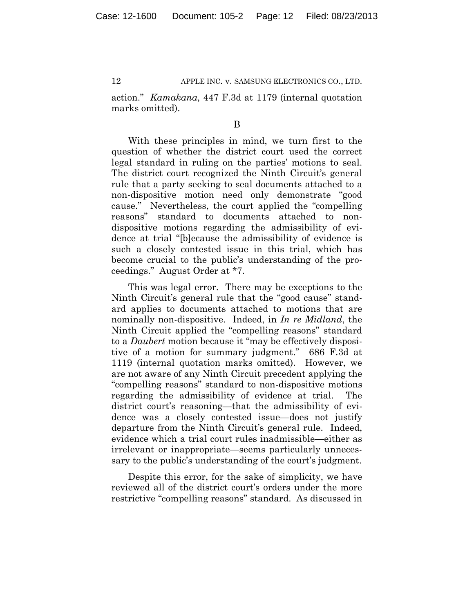action." *Kamakana*, 447 F.3d at 1179 (internal quotation marks omitted).

B

With these principles in mind, we turn first to the question of whether the district court used the correct legal standard in ruling on the parties' motions to seal. The district court recognized the Ninth Circuit's general rule that a party seeking to seal documents attached to a non-dispositive motion need only demonstrate "good cause." Nevertheless, the court applied the "compelling reasons" standard to documents attached to nondispositive motions regarding the admissibility of evidence at trial "[b]ecause the admissibility of evidence is such a closely contested issue in this trial, which has become crucial to the public's understanding of the proceedings." August Order at \*7.

This was legal error. There may be exceptions to the Ninth Circuit's general rule that the "good cause" standard applies to documents attached to motions that are nominally non-dispositive. Indeed, in *In re Midland*, the Ninth Circuit applied the "compelling reasons" standard to a *Daubert* motion because it "may be effectively dispositive of a motion for summary judgment." 686 F.3d at 1119 (internal quotation marks omitted). However, we are not aware of any Ninth Circuit precedent applying the "compelling reasons" standard to non-dispositive motions regarding the admissibility of evidence at trial. The district court's reasoning—that the admissibility of evidence was a closely contested issue—does not justify departure from the Ninth Circuit's general rule. Indeed, evidence which a trial court rules inadmissible—either as irrelevant or inappropriate—seems particularly unnecessary to the public's understanding of the court's judgment.

Despite this error, for the sake of simplicity, we have reviewed all of the district court's orders under the more restrictive "compelling reasons" standard. As discussed in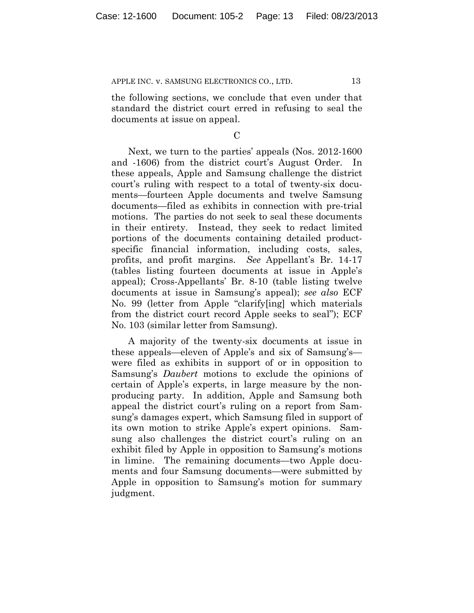the following sections, we conclude that even under that standard the district court erred in refusing to seal the documents at issue on appeal.

#### $\mathcal{C}$

Next, we turn to the parties' appeals (Nos. 2012-1600 and -1606) from the district court's August Order. In these appeals, Apple and Samsung challenge the district court's ruling with respect to a total of twenty-six documents—fourteen Apple documents and twelve Samsung documents—filed as exhibits in connection with pre-trial motions. The parties do not seek to seal these documents in their entirety. Instead, they seek to redact limited portions of the documents containing detailed productspecific financial information, including costs, sales, profits, and profit margins. *See* Appellant's Br. 14-17 (tables listing fourteen documents at issue in Apple's appeal); Cross-Appellants' Br. 8-10 (table listing twelve documents at issue in Samsung's appeal); *see also* ECF No. 99 (letter from Apple "clarify[ing] which materials from the district court record Apple seeks to seal"); ECF No. 103 (similar letter from Samsung).

A majority of the twenty-six documents at issue in these appeals—eleven of Apple's and six of Samsung's were filed as exhibits in support of or in opposition to Samsung's *Daubert* motions to exclude the opinions of certain of Apple's experts, in large measure by the nonproducing party. In addition, Apple and Samsung both appeal the district court's ruling on a report from Samsung's damages expert, which Samsung filed in support of its own motion to strike Apple's expert opinions. Samsung also challenges the district court's ruling on an exhibit filed by Apple in opposition to Samsung's motions in limine. The remaining documents—two Apple documents and four Samsung documents—were submitted by Apple in opposition to Samsung's motion for summary judgment.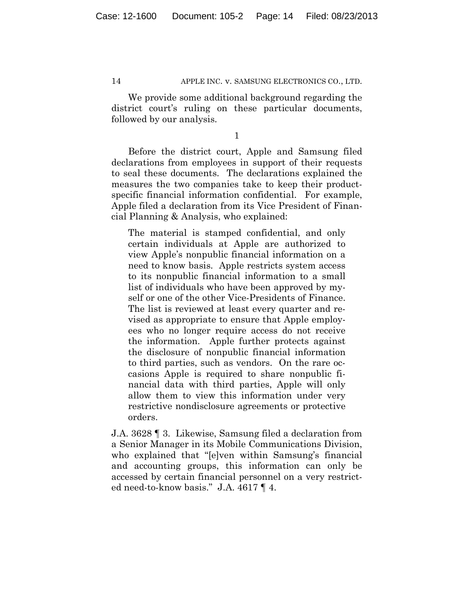We provide some additional background regarding the district court's ruling on these particular documents, followed by our analysis.

1

Before the district court, Apple and Samsung filed declarations from employees in support of their requests to seal these documents. The declarations explained the measures the two companies take to keep their productspecific financial information confidential. For example, Apple filed a declaration from its Vice President of Financial Planning & Analysis, who explained:

The material is stamped confidential, and only certain individuals at Apple are authorized to view Apple's nonpublic financial information on a need to know basis. Apple restricts system access to its nonpublic financial information to a small list of individuals who have been approved by myself or one of the other Vice-Presidents of Finance. The list is reviewed at least every quarter and revised as appropriate to ensure that Apple employees who no longer require access do not receive the information. Apple further protects against the disclosure of nonpublic financial information to third parties, such as vendors. On the rare occasions Apple is required to share nonpublic financial data with third parties, Apple will only allow them to view this information under very restrictive nondisclosure agreements or protective orders.

J.A. 3628 ¶ 3. Likewise, Samsung filed a declaration from a Senior Manager in its Mobile Communications Division, who explained that "[e]ven within Samsung's financial and accounting groups, this information can only be accessed by certain financial personnel on a very restricted need-to-know basis." J.A. 4617 ¶ 4.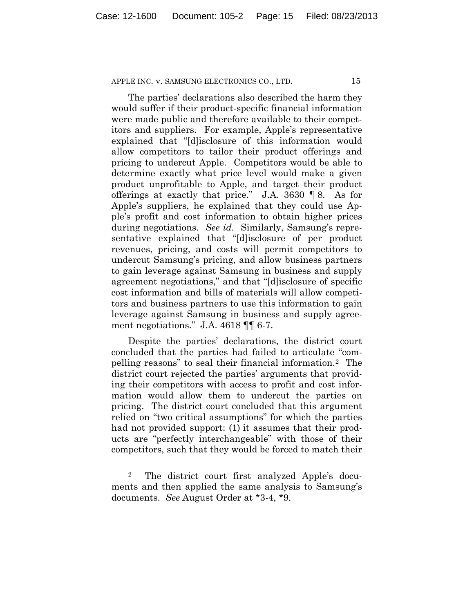The parties' declarations also described the harm they would suffer if their product-specific financial information were made public and therefore available to their competitors and suppliers. For example, Apple's representative explained that "[d]isclosure of this information would allow competitors to tailor their product offerings and pricing to undercut Apple. Competitors would be able to determine exactly what price level would make a given product unprofitable to Apple, and target their product offerings at exactly that price." J.A. 3630 ¶ 8. As for Apple's suppliers, he explained that they could use Apple's profit and cost information to obtain higher prices during negotiations. *See id.* Similarly, Samsung's representative explained that "[d]isclosure of per product revenues, pricing, and costs will permit competitors to undercut Samsung's pricing, and allow business partners to gain leverage against Samsung in business and supply agreement negotiations," and that "[d]isclosure of specific cost information and bills of materials will allow competitors and business partners to use this information to gain leverage against Samsung in business and supply agreement negotiations." J.A. 4618 ¶¶ 6-7.

Despite the parties' declarations, the district court concluded that the parties had failed to articulate "compelling reasons" to seal their financial information.2 The district court rejected the parties' arguments that providing their competitors with access to profit and cost information would allow them to undercut the parties on pricing. The district court concluded that this argument relied on "two critical assumptions" for which the parties had not provided support: (1) it assumes that their products are "perfectly interchangeable" with those of their competitors, such that they would be forced to match their

<sup>2</sup> The district court first analyzed Apple's documents and then applied the same analysis to Samsung's documents. *See* August Order at \*3-4, \*9.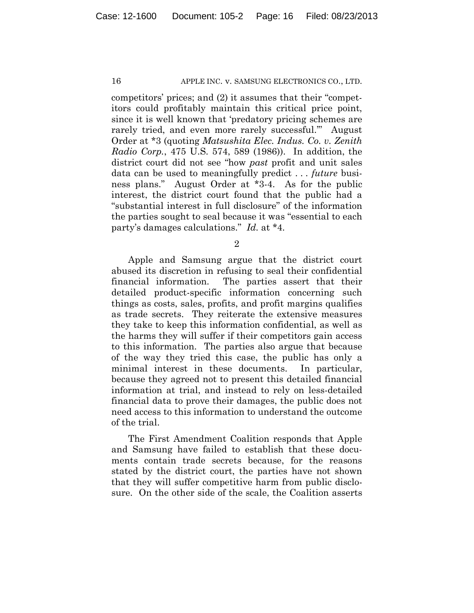competitors' prices; and (2) it assumes that their "competitors could profitably maintain this critical price point, since it is well known that 'predatory pricing schemes are rarely tried, and even more rarely successful.'" August Order at \*3 (quoting *Matsushita Elec. Indus. Co. v. Zenith Radio Corp.*, 475 U.S. 574, 589 (1986)). In addition, the district court did not see "how *past* profit and unit sales data can be used to meaningfully predict . . . *future* business plans." August Order at \*3-4. As for the public interest, the district court found that the public had a "substantial interest in full disclosure" of the information the parties sought to seal because it was "essential to each party's damages calculations." *Id.* at \*4.

2

Apple and Samsung argue that the district court abused its discretion in refusing to seal their confidential financial information. The parties assert that their detailed product-specific information concerning such things as costs, sales, profits, and profit margins qualifies as trade secrets. They reiterate the extensive measures they take to keep this information confidential, as well as the harms they will suffer if their competitors gain access to this information. The parties also argue that because of the way they tried this case, the public has only a minimal interest in these documents. In particular, because they agreed not to present this detailed financial information at trial, and instead to rely on less-detailed financial data to prove their damages, the public does not need access to this information to understand the outcome of the trial.

The First Amendment Coalition responds that Apple and Samsung have failed to establish that these documents contain trade secrets because, for the reasons stated by the district court, the parties have not shown that they will suffer competitive harm from public disclosure. On the other side of the scale, the Coalition asserts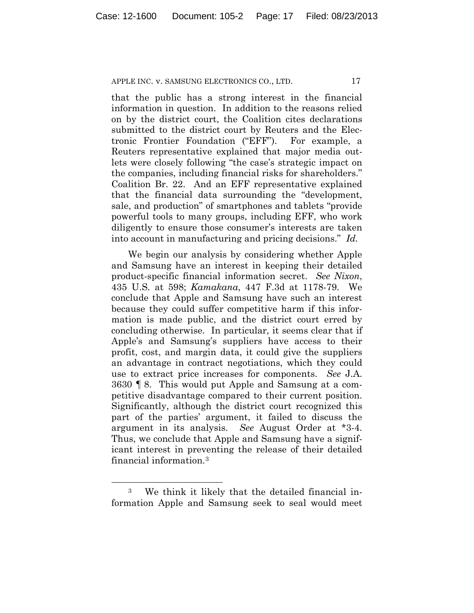that the public has a strong interest in the financial information in question. In addition to the reasons relied on by the district court, the Coalition cites declarations submitted to the district court by Reuters and the Electronic Frontier Foundation ("EFF"). For example, a Reuters representative explained that major media outlets were closely following "the case's strategic impact on the companies, including financial risks for shareholders." Coalition Br. 22. And an EFF representative explained that the financial data surrounding the "development, sale, and production" of smartphones and tablets "provide powerful tools to many groups, including EFF, who work diligently to ensure those consumer's interests are taken into account in manufacturing and pricing decisions." *Id.*

We begin our analysis by considering whether Apple and Samsung have an interest in keeping their detailed product-specific financial information secret. *See Nixon*, 435 U.S. at 598; *Kamakana*, 447 F.3d at 1178-79. We conclude that Apple and Samsung have such an interest because they could suffer competitive harm if this information is made public, and the district court erred by concluding otherwise. In particular, it seems clear that if Apple's and Samsung's suppliers have access to their profit, cost, and margin data, it could give the suppliers an advantage in contract negotiations, which they could use to extract price increases for components. *See* J.A. 3630 ¶ 8. This would put Apple and Samsung at a competitive disadvantage compared to their current position. Significantly, although the district court recognized this part of the parties' argument, it failed to discuss the argument in its analysis. *See* August Order at \*3-4. Thus, we conclude that Apple and Samsung have a significant interest in preventing the release of their detailed financial information.3

<sup>3</sup> We think it likely that the detailed financial information Apple and Samsung seek to seal would meet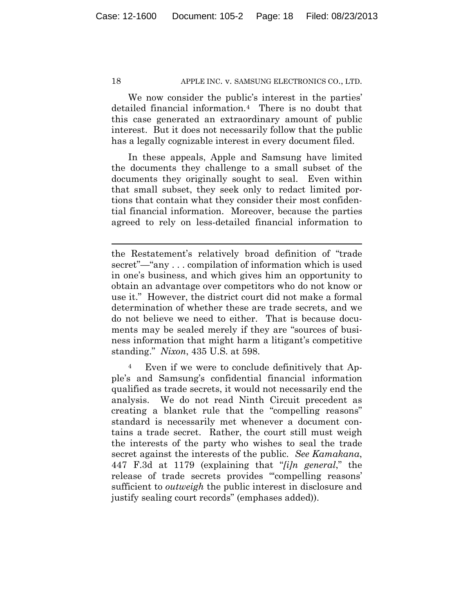We now consider the public's interest in the parties' detailed financial information.4 There is no doubt that this case generated an extraordinary amount of public interest. But it does not necessarily follow that the public has a legally cognizable interest in every document filed.

In these appeals, Apple and Samsung have limited the documents they challenge to a small subset of the documents they originally sought to seal. Even within that small subset, they seek only to redact limited portions that contain what they consider their most confidential financial information. Moreover, because the parties agreed to rely on less-detailed financial information to

<sup>4</sup> Even if we were to conclude definitively that Apple's and Samsung's confidential financial information qualified as trade secrets, it would not necessarily end the analysis. We do not read Ninth Circuit precedent as creating a blanket rule that the "compelling reasons" standard is necessarily met whenever a document contains a trade secret. Rather, the court still must weigh the interests of the party who wishes to seal the trade secret against the interests of the public. *See Kamakana*, 447 F.3d at 1179 (explaining that "*[i]n general*," the release of trade secrets provides "'compelling reasons' sufficient to *outweigh* the public interest in disclosure and justify sealing court records" (emphases added)).

the Restatement's relatively broad definition of "trade secret"—"any . . . compilation of information which is used in one's business, and which gives him an opportunity to obtain an advantage over competitors who do not know or use it." However, the district court did not make a formal determination of whether these are trade secrets, and we do not believe we need to either. That is because documents may be sealed merely if they are "sources of business information that might harm a litigant's competitive standing." *Nixon*, 435 U.S. at 598.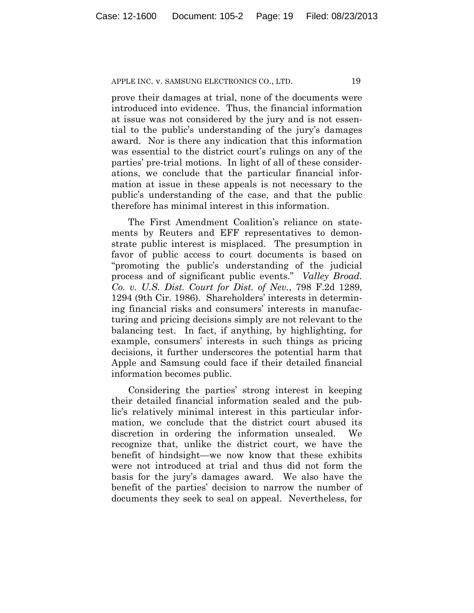prove their damages at trial, none of the documents were introduced into evidence. Thus, the financial information at issue was not considered by the jury and is not essential to the public's understanding of the jury's damages award. Nor is there any indication that this information was essential to the district court's rulings on any of the parties' pre-trial motions. In light of all of these considerations, we conclude that the particular financial information at issue in these appeals is not necessary to the public's understanding of the case, and that the public therefore has minimal interest in this information.

The First Amendment Coalition's reliance on statements by Reuters and EFF representatives to demonstrate public interest is misplaced. The presumption in favor of public access to court documents is based on "promoting the public's understanding of the judicial process and of significant public events." *Valley Broad. Co. v. U.S. Dist. Court for Dist. of Nev.*, 798 F.2d 1289, 1294 (9th Cir. 1986). Shareholders' interests in determining financial risks and consumers' interests in manufacturing and pricing decisions simply are not relevant to the balancing test. In fact, if anything, by highlighting, for example, consumers' interests in such things as pricing decisions, it further underscores the potential harm that Apple and Samsung could face if their detailed financial information becomes public.

Considering the parties' strong interest in keeping their detailed financial information sealed and the public's relatively minimal interest in this particular information, we conclude that the district court abused its discretion in ordering the information unsealed. We recognize that, unlike the district court, we have the benefit of hindsight—we now know that these exhibits were not introduced at trial and thus did not form the basis for the jury's damages award. We also have the benefit of the parties' decision to narrow the number of documents they seek to seal on appeal. Nevertheless, for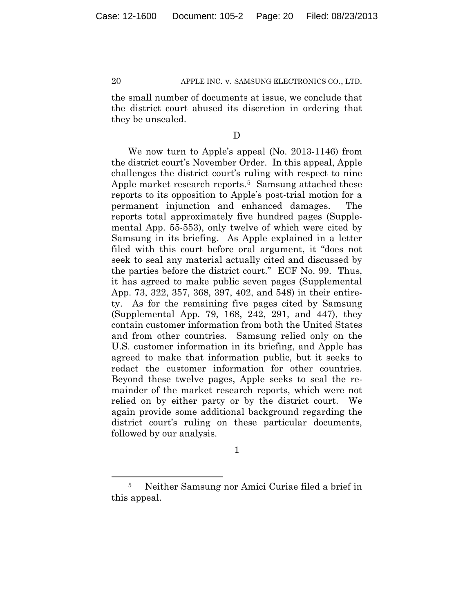the small number of documents at issue, we conclude that the district court abused its discretion in ordering that they be unsealed.

## D

We now turn to Apple's appeal (No. 2013-1146) from the district court's November Order. In this appeal, Apple challenges the district court's ruling with respect to nine Apple market research reports.<sup>5</sup> Samsung attached these reports to its opposition to Apple's post-trial motion for a permanent injunction and enhanced damages. The reports total approximately five hundred pages (Supplemental App. 55-553), only twelve of which were cited by Samsung in its briefing. As Apple explained in a letter filed with this court before oral argument, it "does not seek to seal any material actually cited and discussed by the parties before the district court." ECF No. 99. Thus, it has agreed to make public seven pages (Supplemental App. 73, 322, 357, 368, 397, 402, and 548) in their entirety. As for the remaining five pages cited by Samsung (Supplemental App. 79, 168, 242, 291, and 447), they contain customer information from both the United States and from other countries. Samsung relied only on the U.S. customer information in its briefing, and Apple has agreed to make that information public, but it seeks to redact the customer information for other countries. Beyond these twelve pages, Apple seeks to seal the remainder of the market research reports, which were not relied on by either party or by the district court. We again provide some additional background regarding the district court's ruling on these particular documents, followed by our analysis.

1

<sup>5</sup> Neither Samsung nor Amici Curiae filed a brief in this appeal.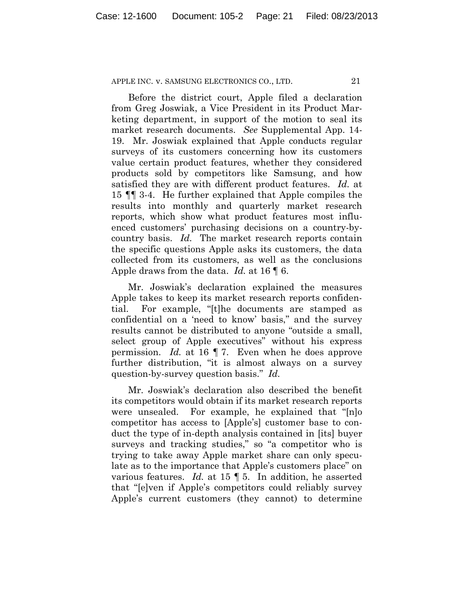Before the district court, Apple filed a declaration from Greg Joswiak, a Vice President in its Product Marketing department, in support of the motion to seal its market research documents. *See* Supplemental App. 14- 19. Mr. Joswiak explained that Apple conducts regular surveys of its customers concerning how its customers value certain product features, whether they considered products sold by competitors like Samsung, and how satisfied they are with different product features. *Id.* at 15 ¶¶ 3-4. He further explained that Apple compiles the results into monthly and quarterly market research reports, which show what product features most influenced customers' purchasing decisions on a country-bycountry basis. *Id.* The market research reports contain the specific questions Apple asks its customers, the data collected from its customers, as well as the conclusions Apple draws from the data. *Id.* at 16 ¶ 6.

Mr. Joswiak's declaration explained the measures Apple takes to keep its market research reports confidential. For example, "[t]he documents are stamped as confidential on a 'need to know' basis," and the survey results cannot be distributed to anyone "outside a small, select group of Apple executives" without his express permission. *Id.* at 16 ¶ 7. Even when he does approve further distribution, "it is almost always on a survey question-by-survey question basis." *Id.*

Mr. Joswiak's declaration also described the benefit its competitors would obtain if its market research reports were unsealed. For example, he explained that "[n]o competitor has access to [Apple's] customer base to conduct the type of in-depth analysis contained in [its] buyer surveys and tracking studies," so "a competitor who is trying to take away Apple market share can only speculate as to the importance that Apple's customers place" on various features. *Id.* at 15 ¶ 5. In addition, he asserted that "[e]ven if Apple's competitors could reliably survey Apple's current customers (they cannot) to determine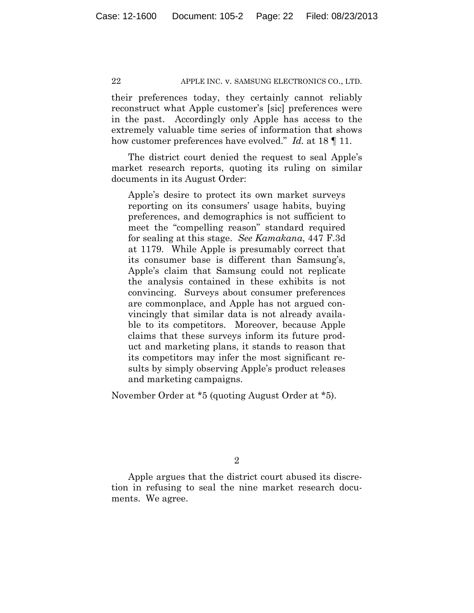their preferences today, they certainly cannot reliably reconstruct what Apple customer's [sic] preferences were in the past. Accordingly only Apple has access to the extremely valuable time series of information that shows how customer preferences have evolved." *Id.* at 18 ¶ 11.

The district court denied the request to seal Apple's market research reports, quoting its ruling on similar documents in its August Order:

Apple's desire to protect its own market surveys reporting on its consumers' usage habits, buying preferences, and demographics is not sufficient to meet the "compelling reason" standard required for sealing at this stage. *See Kamakana*, 447 F.3d at 1179. While Apple is presumably correct that its consumer base is different than Samsung's, Apple's claim that Samsung could not replicate the analysis contained in these exhibits is not convincing. Surveys about consumer preferences are commonplace, and Apple has not argued convincingly that similar data is not already available to its competitors. Moreover, because Apple claims that these surveys inform its future product and marketing plans, it stands to reason that its competitors may infer the most significant results by simply observing Apple's product releases and marketing campaigns.

November Order at \*5 (quoting August Order at \*5).

2

Apple argues that the district court abused its discretion in refusing to seal the nine market research documents. We agree.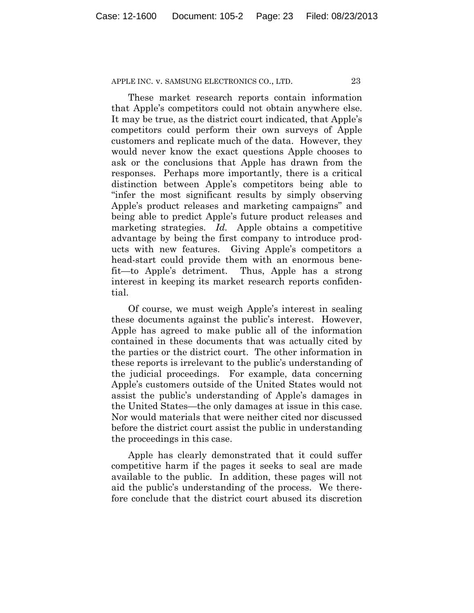These market research reports contain information that Apple's competitors could not obtain anywhere else. It may be true, as the district court indicated, that Apple's competitors could perform their own surveys of Apple customers and replicate much of the data. However, they would never know the exact questions Apple chooses to ask or the conclusions that Apple has drawn from the responses. Perhaps more importantly, there is a critical distinction between Apple's competitors being able to "infer the most significant results by simply observing Apple's product releases and marketing campaigns" and being able to predict Apple's future product releases and marketing strategies. *Id.* Apple obtains a competitive advantage by being the first company to introduce products with new features. Giving Apple's competitors a head-start could provide them with an enormous benefit—to Apple's detriment. Thus, Apple has a strong interest in keeping its market research reports confidential.

Of course, we must weigh Apple's interest in sealing these documents against the public's interest. However, Apple has agreed to make public all of the information contained in these documents that was actually cited by the parties or the district court. The other information in these reports is irrelevant to the public's understanding of the judicial proceedings. For example, data concerning Apple's customers outside of the United States would not assist the public's understanding of Apple's damages in the United States—the only damages at issue in this case. Nor would materials that were neither cited nor discussed before the district court assist the public in understanding the proceedings in this case.

Apple has clearly demonstrated that it could suffer competitive harm if the pages it seeks to seal are made available to the public. In addition, these pages will not aid the public's understanding of the process. We therefore conclude that the district court abused its discretion